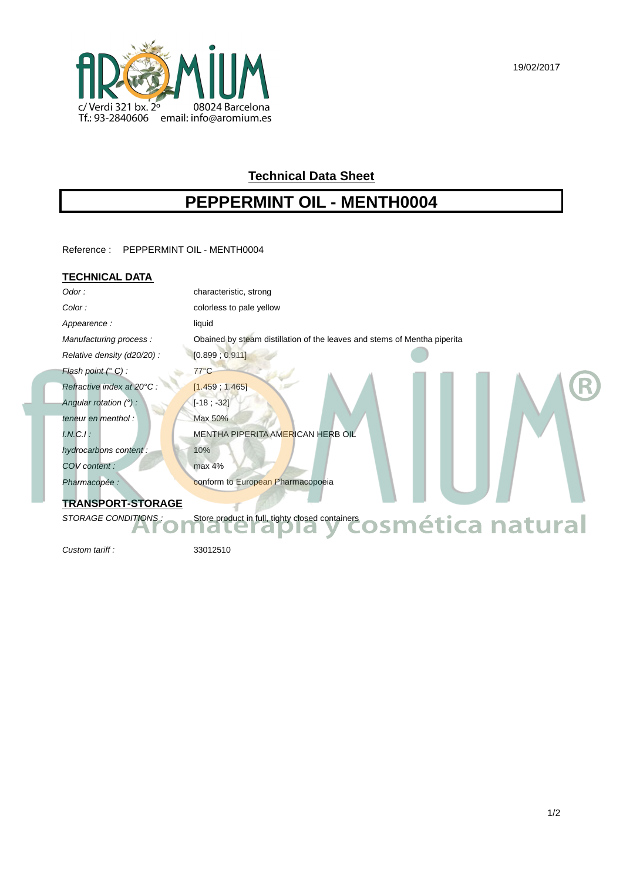19/02/2017



# **Technical Data Sheet**

# **PEPPERMINT OIL - MENTH0004**

Reference : PEPPERMINT OIL - MENTH0004

### **TECHNICAL DATA**

| Odor:                                                                                          | characteristic, strong                                                   |
|------------------------------------------------------------------------------------------------|--------------------------------------------------------------------------|
| Color:                                                                                         | colorless to pale yellow                                                 |
| Appearence:                                                                                    | liquid                                                                   |
| Manufacturing process:                                                                         | Obained by steam distillation of the leaves and stems of Mentha piperita |
| Relative density (d20/20) :                                                                    | [0.899; 0.911]                                                           |
| Flash point $(^\circ C)$ :                                                                     | $77^{\circ}$ C                                                           |
| Refractive index at 20°C :                                                                     | [1.459, 1.465]                                                           |
| Angular rotation $(°)$ :                                                                       | $[-18; -32]$                                                             |
| teneur en menthol :                                                                            | Max 50%                                                                  |
| $I.N.C.I$ :                                                                                    | MENTHA PIPERITA AMERICAN HERB OIL                                        |
| hydrocarbons content:                                                                          | 10%                                                                      |
| COV content:                                                                                   | max 4%                                                                   |
| Pharmacopée :                                                                                  | conform to European Pharmacopoeia                                        |
| <b>TRANSPORT-STORAGE</b>                                                                       |                                                                          |
| STORAGE CONDITIONS:<br>Store product in full, tighty closed containers <b>OSMética natural</b> |                                                                          |
|                                                                                                |                                                                          |

Custom tariff : 33012510